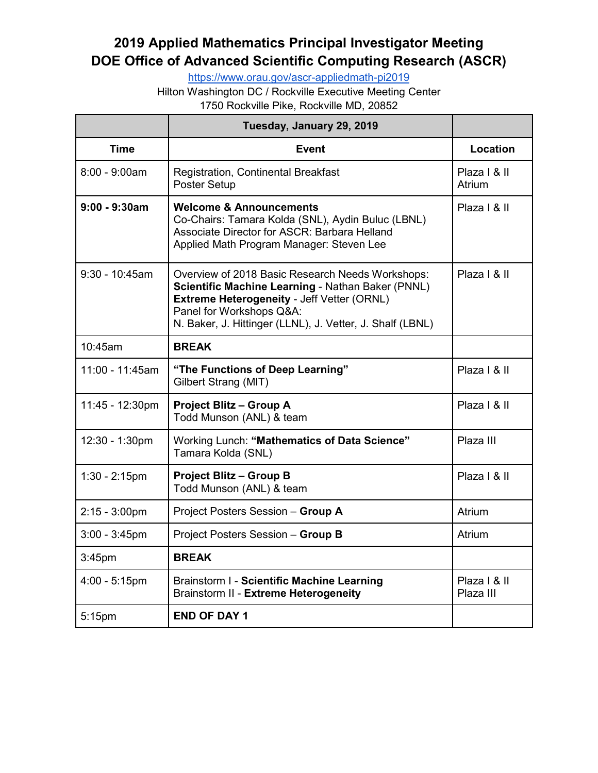## **2019 Applied Mathematics Principal Investigator Meeting DOE Office of Advanced Scientific Computing Research (ASCR)**

<https://www.orau.gov/ascr-appliedmath-pi2019>

Hilton Washington DC / Rockville Executive Meeting Center

1750 Rockville Pike, Rockville MD, 20852

|                  | Tuesday, January 29, 2019                                                                                                                                                                                                                    |                           |
|------------------|----------------------------------------------------------------------------------------------------------------------------------------------------------------------------------------------------------------------------------------------|---------------------------|
| <b>Time</b>      | <b>Event</b>                                                                                                                                                                                                                                 | Location                  |
| $8:00 - 9:00am$  | Registration, Continental Breakfast<br>Poster Setup                                                                                                                                                                                          | Plaza   & II<br>Atrium    |
| $9:00 - 9:30$ am | <b>Welcome &amp; Announcements</b><br>Co-Chairs: Tamara Kolda (SNL), Aydin Buluc (LBNL)<br>Associate Director for ASCR: Barbara Helland<br>Applied Math Program Manager: Steven Lee                                                          | Plaza   & II              |
| 9:30 - 10:45am   | Overview of 2018 Basic Research Needs Workshops:<br>Scientific Machine Learning - Nathan Baker (PNNL)<br>Extreme Heterogeneity - Jeff Vetter (ORNL)<br>Panel for Workshops Q&A:<br>N. Baker, J. Hittinger (LLNL), J. Vetter, J. Shalf (LBNL) | Plaza   & II              |
| 10:45am          | <b>BREAK</b>                                                                                                                                                                                                                                 |                           |
| 11:00 - 11:45am  | "The Functions of Deep Learning"<br>Gilbert Strang (MIT)                                                                                                                                                                                     | Plaza   & II              |
| 11:45 - 12:30pm  | <b>Project Blitz - Group A</b><br>Todd Munson (ANL) & team                                                                                                                                                                                   | Plaza   & II              |
| 12:30 - 1:30pm   | Working Lunch: "Mathematics of Data Science"<br>Tamara Kolda (SNL)                                                                                                                                                                           | Plaza III                 |
| $1:30 - 2:15$ pm | <b>Project Blitz - Group B</b><br>Todd Munson (ANL) & team                                                                                                                                                                                   | Plaza   & II              |
| $2:15 - 3:00$ pm | Project Posters Session - Group A                                                                                                                                                                                                            | Atrium                    |
| $3:00 - 3:45$ pm | Project Posters Session - Group B                                                                                                                                                                                                            | <b>Atrium</b>             |
| $3:45$ pm        | <b>BREAK</b>                                                                                                                                                                                                                                 |                           |
| $4:00 - 5:15$ pm | <b>Brainstorm I - Scientific Machine Learning</b><br>Brainstorm II - Extreme Heterogeneity                                                                                                                                                   | Plaza   & II<br>Plaza III |
| 5:15pm           | <b>END OF DAY 1</b>                                                                                                                                                                                                                          |                           |